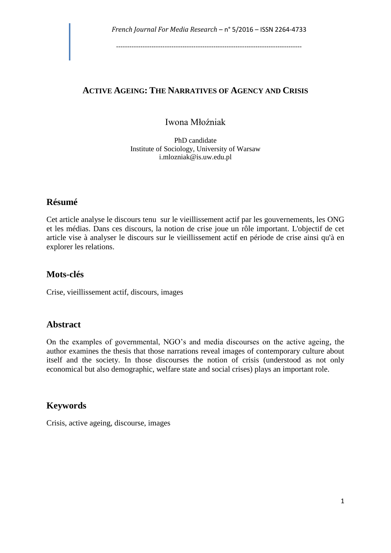## **ACTIVE AGEING: THE NARRATIVES OF AGENCY AND CRISIS**

# Iwona Młoźniak

PhD candidate Institute of Sociology, University of Warsaw i.mlozniak@is.uw.edu.pl

# **Résumé**

Cet article analyse le discours tenu sur le vieillissement actif par les gouvernements, les ONG et les médias. Dans ces discours, la notion de crise joue un rôle important. L'objectif de cet article vise à analyser le discours sur le vieillissement actif en période de crise ainsi qu'à en explorer les relations.

# **Mots-clés**

Crise, vieillissement actif, discours, images

# **Abstract**

On the examples of governmental, NGO's and media discourses on the active ageing, the author examines the thesis that those narrations reveal images of contemporary culture about itself and the society. In those discourses the notion of crisis (understood as not only economical but also demographic, welfare state and social crises) plays an important role.

# **Keywords**

Crisis, active ageing, discourse, images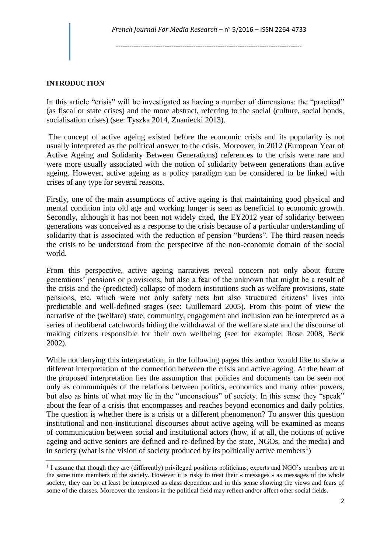#### **INTRODUCTION**

1

In this article "crisis" will be investigated as having a number of dimensions: the "practical" (as fiscal or state crises) and the more abstract, referring to the social (culture, social bonds, socialisation crises) (see: Tyszka 2014, Znaniecki 2013).

The concept of active ageing existed before the economic crisis and its popularity is not usually interpreted as the political answer to the crisis. Moreover, in 2012 (European Year of Active Ageing and Solidarity Between Generations) references to the crisis were rare and were more usually associated with the notion of solidarity between generations than active ageing. However, active ageing as a policy paradigm can be considered to be linked with crises of any type for several reasons.

Firstly, one of the main assumptions of active ageing is that maintaining good physical and mental condition into old age and working longer is seen as beneficial to economic growth. Secondly, although it has not been not widely cited, the EY2012 year of solidarity between generations was conceived as a response to the crisis because of a particular understanding of solidarity that is associated with the reduction of pension "burdens". The third reason needs the crisis to be understood from the perspecitve of the non-economic domain of the social world.

From this perspective, active ageing narratives reveal concern not only about future generations' pensions or provisions, but also a fear of the unknown that might be a result of the crisis and the (predicted) collapse of modern institutions such as welfare provisions, state pensions, etc. which were not only safety nets but also structured citizens' lives into predictable and well-defined stages (see: Guillemard 2005). From this point of view the narrative of the (welfare) state, community, engagement and inclusion can be interpreted as a series of neoliberal catchwords hiding the withdrawal of the welfare state and the discourse of making citizens responsible for their own wellbeing (see for example: Rose 2008, Beck 2002).

While not denying this interpretation, in the following pages this author would like to show a different interpretation of the connection between the crisis and active ageing. At the heart of the proposed interpretation lies the assumption that policies and documents can be seen not only as communiqués of the relations between politics, economics and many other powers, but also as hints of what may lie in the "unconscious" of society. In this sense they "speak" about the fear of a crisis that encompasses and reaches beyond economics and daily politics. The question is whether there is a crisis or a different phenomenon? To answer this question institutional and non-institutional discourses about active ageing will be examined as means of communication between social and institutional actors (how, if at all, the notions of active ageing and active seniors are defined and re-defined by the state, NGOs, and the media) and in society (what is the vision of society produced by its politically active members<sup>1</sup>)

<sup>&</sup>lt;sup>1</sup> I assume that though they are (differently) privileged positions politicians, experts and NGO's members are at the same time members of the society. However it is risky to treat their « messages » as messages of the whole society, they can be at least be interpreted as class dependent and in this sense showing the views and fears of some of the classes. Moreover the tensions in the political field may reflect and/or affect other social fields.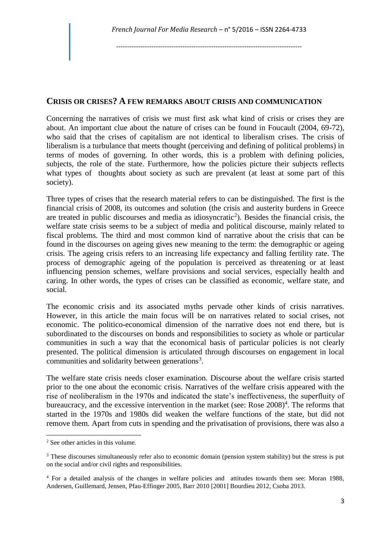### **CRISIS OR CRISES? A FEW REMARKS ABOUT CRISIS AND COMMUNICATION**

Concerning the narratives of crisis we must first ask what kind of crisis or crises they are about. An important clue about the nature of crises can be found in Foucault (2004, 69-72), who said that the crises of capitalism are not identical to liberalism crises. The crisis of liberalism is a turbulance that meets thought (perceiving and defining of political problems) in terms of modes of governing. In other words, this is a problem with defining policies, subjects, the role of the state. Furthermore, how the policies picture their subjects reflects what types of thoughts about society as such are prevalent (at least at some part of this society).

Three types of crises that the research material refers to can be distinguished. The first is the financial crisis of 2008, its outcomes and solution (the crisis and austerity burdens in Greece are treated in public discourses and media as idiosyncratic<sup>2</sup>). Besides the financial crisis, the welfare state crisis seems to be a subject of media and political discourse, mainly related to fiscal problems. The third and most common kind of narrative about the crisis that can be found in the discourses on ageing gives new meaning to the term: the demographic or ageing crisis. The ageing crisis refers to an increasing life expectancy and falling fertility rate. The process of demographic ageing of the population is perceived as threatening or at least influencing pension schemes, welfare provisions and social services, especially health and caring. In other words, the types of crises can be classified as economic, welfare state, and social.

The economic crisis and its associated myths pervade other kinds of crisis narratives. However, in this article the main focus will be on narratives related to social crises, not economic. The politico-economical dimension of the narrative does not end there, but is subordinated to the discourses on bonds and responsibilities to society as whole or particular communities in such a way that the economical basis of particular policies is not clearly presented. The political dimension is articulated through discourses on engagement in local communities and solidarity between generations<sup>3</sup>.

The welfare state crisis needs closer examination. Discourse about the welfare crisis started prior to the one about the economic crisis. Narratives of the welfare crisis appeared with the rise of neoliberalism in the 1970s and indicated the state's ineffectiveness, the superfluity of bureaucracy, and the excessive intervention in the market (see: Rose  $2008$ )<sup>4</sup>. The reforms that started in the 1970s and 1980s did weaken the welfare functions of the state, but did not remove them. Apart from cuts in spending and the privatisation of provisions, there was also a

<sup>2</sup> See other articles in this volume.

<sup>&</sup>lt;sup>3</sup> These discourses simultaneously refer also to economic domain (pension system stability) but the stress is put on the social and/or civil rights and responsibilities.

<sup>4</sup> For a detailed analysis of the changes in welfare policies and attitudes towards them see: Moran 1988, Andersen, Guillemard, Jensen, Pfau-Effinger 2005, Barr 2010 [2001] Bourdieu 2012, Csoba 2013.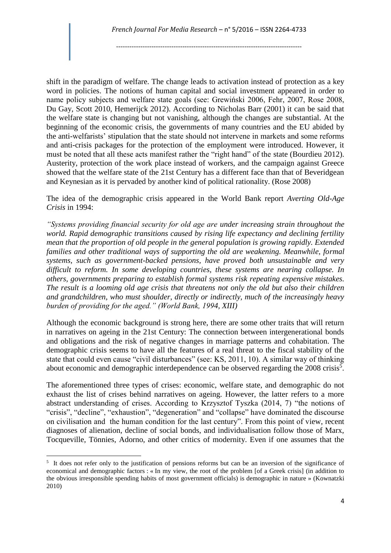shift in the paradigm of welfare. The change leads to activation instead of protection as a key word in policies. The notions of human capital and social investment appeared in order to name policy subjects and welfare state goals (see: Grewiński 2006, Fehr, 2007, Rose 2008, Du Gay, Scott 2010, Hemerijck 2012). According to Nicholas Barr (2001) it can be said that the welfare state is changing but not vanishing, although the changes are substantial. At the beginning of the economic crisis, the governments of many countries and the EU abided by the anti-welfarists' stipulation that the state should not intervene in markets and some reforms and anti-crisis packages for the protection of the employment were introduced. However, it must be noted that all these acts manifest rather the "right hand" of the state (Bourdieu 2012). Austerity, protection of the work place instead of workers, and the campaign against Greece showed that the welfare state of the 21st Century has a different face than that of Beveridgean and Keynesian as it is pervaded by another kind of political rationality. (Rose 2008)

The idea of the demographic crisis appeared in the World Bank report *Averting Old-Age Crisis* in 1994:

*"Systems providing financial security for old age are under increasing strain throughout the world. Rapid demographic transitions caused by rising life expectancy and declining fertility mean that the proportion of old people in the general population is growing rapidly. Extended families and other traditional ways of supporting the old are weakening. Meanwhile, formal systems, such as government-backed pensions, have proved both unsustainable and very difficult to reform. In some developing countries, these systems are nearing collapse. In others, governments preparing to establish formal systems risk repeating expensive mistakes. The result is a looming old age crisis that threatens not only the old but also their children and grandchildren, who must shoulder, directly or indirectly, much of the increasingly heavy burden of providing for the aged." (World Bank, 1994, XIII)*

Although the economic background is strong here, there are some other traits that will return in narratives on ageing in the 21st Century: The connection between intergenerational bonds and obligations and the risk of negative changes in marriage patterns and cohabitation. The demographic crisis seems to have all the features of a real threat to the fiscal stability of the state that could even cause "civil disturbances" (see: KS, 2011, 10). A similar way of thinking about economic and demographic interdependence can be observed regarding the  $2008$  crisis<sup>5</sup>.

The aforementioned three types of crises: economic, welfare state, and demographic do not exhaust the list of crises behind narratives on ageing. However, the latter refers to a more abstract understanding of crises. According to Krzysztof Tyszka (2014, 7) "the notions of "crisis", "decline", "exhaustion", "degeneration" and "collapse" have dominated the discourse on civilisation and the human condition for the last century". From this point of view, recent diagnoses of alienation, decline of social bonds, and individualisation follow those of Marx, Tocqueville, Tönnies, Adorno, and other critics of modernity. Even if one assumes that the

<sup>&</sup>lt;sup>5</sup> It does not refer only to the justification of pensions reforms but can be an inversion of the significance of economical and demographic factors : « In my view, the root of the problem [of a Greek crisis] (in addition to the obvious irresponsible spending habits of most government officials) is demographic in nature » (Kownatzki 2010)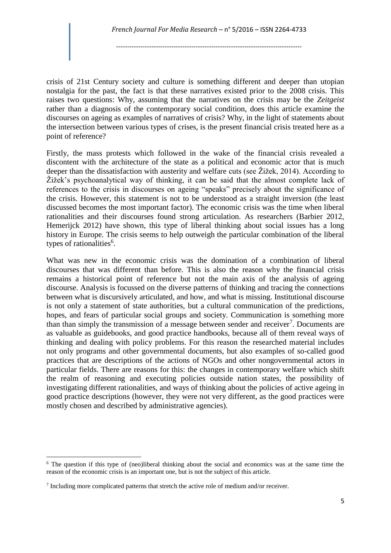crisis of 21st Century society and culture is something different and deeper than utopian nostalgia for the past, the fact is that these narratives existed prior to the 2008 crisis. This raises two questions: Why, assuming that the narratives on the crisis may be the *Zeitgeist* rather than a diagnosis of the contemporary social condition, does this article examine the discourses on ageing as examples of narratives of crisis? Why, in the light of statements about the intersection between various types of crises, is the present financial crisis treated here as a point of reference?

Firstly, the mass protests which followed in the wake of the financial crisis revealed a discontent with the architecture of the state as a political and economic actor that is much deeper than the dissatisfaction with austerity and welfare cuts (see Žižek, 2014). According to Žižek's psychoanalytical way of thinking, it can be said that the almost complete lack of references to the crisis in discourses on ageing "speaks" precisely about the significance of the crisis. However, this statement is not to be understood as a straight inversion (the least discussed becomes the most important factor). The economic crisis was the time when liberal rationalities and their discourses found strong articulation. As researchers (Barbier 2012, Hemerijck 2012) have shown, this type of liberal thinking about social issues has a long history in Europe. The crisis seems to help outweigh the particular combination of the liberal types of rationalities<sup>6</sup>.

What was new in the economic crisis was the domination of a combination of liberal discourses that was different than before. This is also the reason why the financial crisis remains a historical point of reference but not the main axis of the analysis of ageing discourse. Analysis is focussed on the diverse patterns of thinking and tracing the connections between what is discursively articulated, and how, and what is missing. Institutional discourse is not only a statement of state authorities, but a cultural communication of the predictions, hopes, and fears of particular social groups and society. Communication is something more than than simply the transmission of a message between sender and receiver<sup>7</sup>. Documents are as valuable as guidebooks, and good practice handbooks, because all of them reveal ways of thinking and dealing with policy problems. For this reason the researched material includes not only programs and other governmental documents, but also examples of so-called good practices that are descriptions of the actions of NGOs and other nongovernmental actors in particular fields. There are reasons for this: the changes in contemporary welfare which shift the realm of reasoning and executing policies outside nation states, the possibility of investigating different rationalities, and ways of thinking about the policies of active ageing in good practice descriptions (however, they were not very different, as the good practices were mostly chosen and described by administrative agencies).

 $6$  The question if this type of (neo)liberal thinking about the social and economics was at the same time the reason of the economic crisis is an important one, but is not the subject of this article.

 $7$  Including more complicated patterns that stretch the active role of medium and/or receiver.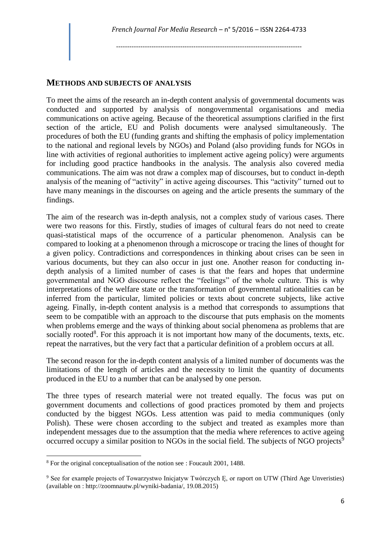## **METHODS AND SUBJECTS OF ANALYSIS**

To meet the aims of the research an in-depth content analysis of governmental documents was conducted and supported by analysis of nongovernmental organisations and media communications on active ageing. Because of the theoretical assumptions clarified in the first section of the article, EU and Polish documents were analysed simultaneously. The procedures of both the EU (funding grants and shifting the emphasis of policy implementation to the national and regional levels by NGOs) and Poland (also providing funds for NGOs in line with activities of regional authorities to implement active ageing policy) were arguments for including good practice handbooks in the analysis. The analysis also covered media communications. The aim was not draw a complex map of discourses, but to conduct in-depth analysis of the meaning of "activity" in active ageing discourses. This "activity" turned out to have many meanings in the discourses on ageing and the article presents the summary of the findings.

The aim of the research was in-depth analysis, not a complex study of various cases. There were two reasons for this. Firstly, studies of images of cultural fears do not need to create quasi-statistical maps of the occurrence of a particular phenomenon. Analysis can be compared to looking at a phenomenon through a microscope or tracing the lines of thought for a given policy. Contradictions and correspondences in thinking about crises can be seen in various documents, but they can also occur in just one. Another reason for conducting indepth analysis of a limited number of cases is that the fears and hopes that undermine governmental and NGO discourse reflect the "feelings" of the whole culture. This is why interpretations of the welfare state or the transformation of governmental rationalities can be inferred from the particular, limited policies or texts about concrete subjects, like active ageing. Finally, in-depth content analysis is a method that corresponds to assumptions that seem to be compatible with an approach to the discourse that puts emphasis on the moments when problems emerge and the ways of thinking about social phenomena as problems that are socially rooted<sup>8</sup>. For this approach it is not important how many of the documents, texts, etc. repeat the narratives, but the very fact that a particular definition of a problem occurs at all.

The second reason for the in-depth content analysis of a limited number of documents was the limitations of the length of articles and the necessity to limit the quantity of documents produced in the EU to a number that can be analysed by one person.

The three types of research material were not treated equally. The focus was put on government documents and collections of good practices promoted by them and projects conducted by the biggest NGOs. Less attention was paid to media communiques (only Polish). These were chosen according to the subject and treated as examples more than independent messages due to the assumption that the media where references to active ageing occurred occupy a similar position to NGOs in the social field. The subjects of NGO projects<sup>9</sup>

1

<sup>8</sup> For the original conceptualisation of the notion see : Foucault 2001, 1488.

<sup>&</sup>lt;sup>9</sup> See for example projects of Towarzystwo Iniciatyw Twórczych E, or raport on UTW (Third Age Unveristies) (available on : http://zoomnautw.pl/wyniki-badania/, 19.08.2015)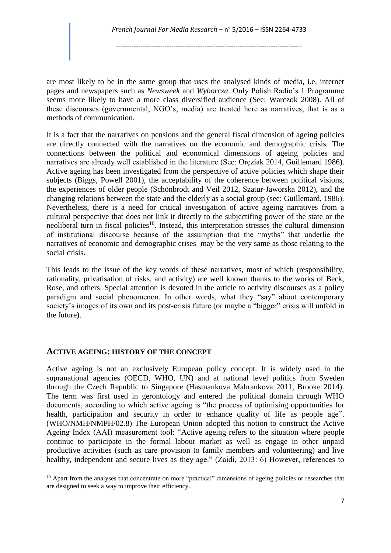are most likely to be in the same group that uses the analysed kinds of media, i.e. internet pages and newspapers such as *Newsweek* and *Wyborcza*. Only Polish Radio's 1 Programme seems more likely to have a more class diversified audience (See: Warczok 2008). All of these discourses (governmental, NGO's, media) are treated here as narratives, that is as a methods of communication.

It is a fact that the narratives on pensions and the general fiscal dimension of ageing policies are directly connected with the narratives on the economic and demographic crisis. The connections between the political and economical dimensions of ageing policies and narratives are already well established in the literature (See: Oręziak 2014, Guillemard 1986). Active ageing has been investigated from the perspective of active policies which shape their subjects (Biggs, Powell 2001), the acceptability of the coherence between political visions, the experiences of older people (Schönbrodt and Veil 2012, Szatur-Jaworska 2012), and the changing relations between the state and the elderly as a social group (see: Guillemard, 1986). Nevertheless, there is a need for critical investigation of active ageing narratives from a cultural perspective that does not link it directly to the subjectifing power of the state or the neoliberal turn in fiscal policies<sup>10</sup>. Instead, this interpretation stresses the cultural dimension of institutional discourse because of the assumption that the "myths" that underlie the narratives of economic and demographic crises may be the very same as those relating to the social crisis.

This leads to the issue of the key words of these narratives, most of which (responsibility, rationality, privatisation of risks, and activity) are well known thanks to the works of Beck, Rose, and others. Special attention is devoted in the article to activity discourses as a policy paradigm and social phenomenon. In other words, what they "say" about contemporary society's images of its own and its post-crisis future (or maybe a "bigger" crisis will unfold in the future).

#### **ACTIVE AGEING: HISTORY OF THE CONCEPT**

1

Active ageing is not an exclusively European policy concept. It is widely used in the supranational agencies (OECD, WHO, UN) and at national level politics from Sweden through the Czech Republic to Singapore (Hasmankova Mahrankova 2011, Brooke 2014). The term was first used in gerontology and entered the political domain through WHO documents, according to which active ageing is "the process of optimising opportunities for health, participation and security in order to enhance quality of life as people age". (WHO/NMH/NMPH/02.8) The European Union adopted this notion to construct the Active Ageing Index (AAI) measurement tool: "Active ageing refers to the situation where people continue to participate in the formal labour market as well as engage in other unpaid productive activities (such as care provision to family members and volunteering) and live healthy, independent and secure lives as they age." (Zaidi, 2013: 6) However, references to

<sup>&</sup>lt;sup>10</sup> Apart from the analyses that concentrate on more "practical" dimensions of ageing policies or researches that are designed to seek a way to improve their efficiency.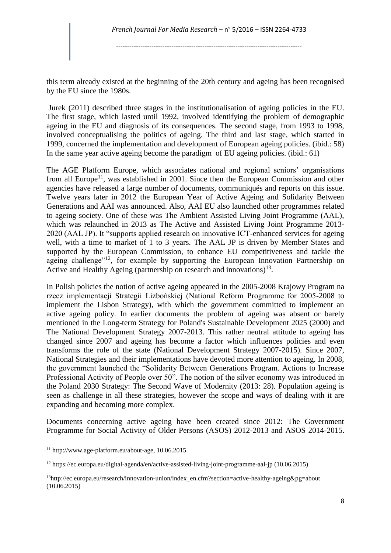this term already existed at the beginning of the 20th century and ageing has been recognised by the EU since the 1980s.

Jurek (2011) described three stages in the institutionalisation of ageing policies in the EU. The first stage, which lasted until 1992, involved identifying the problem of demographic ageing in the EU and diagnosis of its consequences. The second stage, from 1993 to 1998, involved conceptualising the politics of ageing. The third and last stage, which started in 1999, concerned the implementation and development of European ageing policies. (ibid.: 58) In the same year active ageing become the paradigm of EU ageing policies. (ibid.: 61)

The AGE Platform Europe, which associates national and regional seniors' organisations from all Europe<sup>11</sup>, was established in 2001. Since then the European Commission and other agencies have released a large number of documents, communiqués and reports on this issue. Twelve years later in 2012 the European Year of Active Ageing and Solidarity Between Generations and AAI was announced. Also, AAI EU also launched other programmes related to ageing society. One of these was The Ambient Assisted Living Joint Programme (AAL), which was relaunched in 2013 as The Active and Assisted Living Joint Programme 2013- 2020 (AAL JP). It "supports applied research on innovative ICT-enhanced services for ageing well, with a time to market of 1 to 3 years. The AAL JP is driven by Member States and supported by the European Commission, to enhance EU competitiveness and tackle the ageing challenge"<sup>12</sup>, for example by supporting the European Innovation Partnership on Active and Healthy Ageing (partnership on research and innovations) $13$ .

In Polish policies the notion of active ageing appeared in the 2005-2008 Krajowy Program na rzecz implementacji Strategii Lizbońskiej (National Reform Programme for 2005-2008 to implement the Lisbon Strategy), with which the government committed to implement an active ageing policy. In earlier documents the problem of ageing was absent or barely mentioned in the Long-term Strategy for Poland's Sustainable Development 2025 (2000) and The National Development Strategy 2007-2013. This rather neutral attitude to ageing has changed since 2007 and ageing has become a factor which influences policies and even transforms the role of the state (National Development Strategy 2007-2015). Since 2007, National Strategies and their implementations have devoted more attention to ageing. In 2008, the government launched the "Solidarity Between Generations Program. Actions to Increase Professional Activity of People over 50". The notion of the silver economy was introduced in the Poland 2030 Strategy: The Second Wave of Modernity (2013: 28). Population ageing is seen as challenge in all these strategies, however the scope and ways of dealing with it are expanding and becoming more complex.

Documents concerning active ageing have been created since 2012: The Government Programme for Social Activity of Older Persons (ASOS) 2012-2013 and ASOS 2014-2015.

<sup>11</sup> http://www.age-platform.eu/about-age, 10.06.2015.

<sup>12</sup> https://ec.europa.eu/digital-agenda/en/active-assisted-living-joint-programme-aal-jp (10.06.2015)

 $13$ http://ec.europa.eu/research/innovation-union/index\_en.cfm?section=active-healthy-ageing&pg=about (10.06.2015)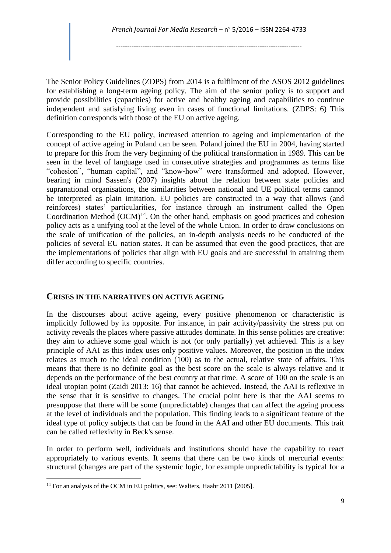The Senior Policy Guidelines (ZDPS) from 2014 is a fulfilment of the ASOS 2012 guidelines for establishing a long-term ageing policy. The aim of the senior policy is to support and provide possibilities (capacities) for active and healthy ageing and capabilities to continue independent and satisfying living even in cases of functional limitations. (ZDPS: 6) This definition corresponds with those of the EU on active ageing.

Corresponding to the EU policy, increased attention to ageing and implementation of the concept of active ageing in Poland can be seen. Poland joined the EU in 2004, having started to prepare for this from the very beginning of the political transformation in 1989. This can be seen in the level of language used in consecutive strategies and programmes as terms like "cohesion", "human capital", and "know-how" were transformed and adopted. However, bearing in mind Sassen's (2007) insights about the relation between state policies and supranational organisations, the similarities between national and UE political terms cannot be interpreted as plain imitation. EU policies are constructed in a way that allows (and reinforces) states' particularities, for instance through an instrument called the Open Coordination Method  $(OCM)^{14}$ . On the other hand, emphasis on good practices and cohesion policy acts as a unifying tool at the level of the whole Union. In order to draw conclusions on the scale of unification of the policies, an in-depth analysis needs to be conducted of the policies of several EU nation states. It can be assumed that even the good practices, that are the implementations of policies that align with EU goals and are successful in attaining them differ according to specific countries.

### **CRISES IN THE NARRATIVES ON ACTIVE AGEING**

In the discourses about active ageing, every positive phenomenon or characteristic is implicitly followed by its opposite. For instance, in pair activity/passivity the stress put on activity reveals the places where passive attitudes dominate. In this sense policies are creative: they aim to achieve some goal which is not (or only partially) yet achieved. This is a key principle of AAI as this index uses only positive values. Moreover, the position in the index relates as much to the ideal condition (100) as to the actual, relative state of affairs. This means that there is no definite goal as the best score on the scale is always relative and it depends on the performance of the best country at that time. A score of 100 on the scale is an ideal utopian point (Zaidi 2013: 16) that cannot be achieved. Instead, the AAI is reflexive in the sense that it is sensitive to changes. The crucial point here is that the AAI seems to presuppose that there will be some (unpredictable) changes that can affect the ageing process at the level of individuals and the population. This finding leads to a significant feature of the ideal type of policy subjects that can be found in the AAI and other EU documents. This trait can be called reflexivity in Beck's sense.

In order to perform well, individuals and institutions should have the capability to react appropriately to various events. It seems that there can be two kinds of mercurial events: structural (changes are part of the systemic logic, for example unpredictability is typical for a

<sup>14</sup> For an analysis of the OCM in EU politics, see: Walters, Haahr 2011 [2005]*.*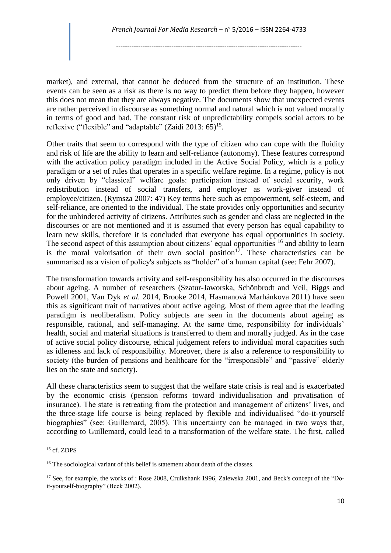market), and external, that cannot be deduced from the structure of an institution. These events can be seen as a risk as there is no way to predict them before they happen, however this does not mean that they are always negative. The documents show that unexpected events are rather perceived in discourse as something normal and natural which is not valued morally in terms of good and bad. The constant risk of unpredictability compels social actors to be reflexive ("flexible" and "adaptable" (Zaidi 2013:  $65$ )<sup>15</sup>.

Other traits that seem to correspond with the type of citizen who can cope with the fluidity and risk of life are the ability to learn and self-reliance (autonomy). These features correspond with the activation policy paradigm included in the Active Social Policy, which is a policy paradigm or a set of rules that operates in a specific welfare regime. In a regime, policy is not only driven by "classical" welfare goals: participation instead of social security, work redistribution instead of social transfers, and employer as work-giver instead of employee/citizen. (Rymsza 2007: 47) Key terms here such as empowerment, self-esteem, and self-reliance, are oriented to the individual. The state provides only opportunities and security for the unhindered activity of citizens. Attributes such as gender and class are neglected in the discourses or are not mentioned and it is assumed that every person has equal capability to learn new skills, therefore it is concluded that everyone has equal opportunities in society. The second aspect of this assumption about citizens' equal opportunities <sup>16</sup> and ability to learn is the moral valorisation of their own social position<sup>17</sup>. These characteristics can be summarised as a vision of policy's subjects as "holder" of a human capital (see: Fehr 2007).

The transformation towards activity and self-responsibility has also occurred in the discourses about ageing. A number of researchers (Szatur-Jaworska, Schönbrodt and Veil, Biggs and Powell 2001, Van Dyk *et al.* 2014, Brooke 2014, Hasmanová Marhánkova 2011) have seen this as significant trait of narratives about active ageing. Most of them agree that the leading paradigm is neoliberalism. Policy subjects are seen in the documents about ageing as responsible, rational, and self-managing. At the same time, responsibility for individuals' health, social and material situations is transferred to them and morally judged. As in the case of active social policy discourse, ethical judgement refers to individual moral capacities such as idleness and lack of responsibility. Moreover, there is also a reference to responsibility to society (the burden of pensions and healthcare for the "irresponsible" and "passive" elderly lies on the state and society).

All these characteristics seem to suggest that the welfare state crisis is real and is exacerbated by the economic crisis (pension reforms toward individualisation and privatisation of insurance). The state is retreating from the protection and management of citizens' lives, and the three-stage life course is being replaced by flexible and individualised "do-it-yourself biographies" (see: Guillemard, 2005). This uncertainty can be managed in two ways that, according to Guillemard, could lead to a transformation of the welfare state. The first, called

<sup>15</sup> cf. ZDPS

<sup>&</sup>lt;sup>16</sup> The sociological variant of this belief is statement about death of the classes.

<sup>&</sup>lt;sup>17</sup> See, for example, the works of : Rose 2008, Cruikshank 1996, Zalewska 2001, and Beck's concept of the "Doit-yourself-biography" (Beck 2002).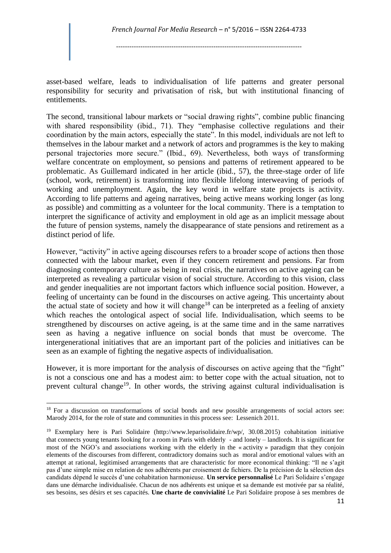asset-based welfare, leads to individualisation of life patterns and greater personal responsibility for security and privatisation of risk, but with institutional financing of entitlements.

The second, transitional labour markets or "social drawing rights", combine public financing with shared responsibility (ibid., 71). They "emphasise collective regulations and their coordination by the main actors, especially the state". In this model, individuals are not left to themselves in the labour market and a network of actors and programmes is the key to making personal trajectories more secure." (Ibid., 69). Nevertheless, both ways of transforming welfare concentrate on employment, so pensions and patterns of retirement appeared to be problematic. As Guillemard indicated in her article (ibid., 57), the three-stage order of life (school, work, retirement) is transforming into flexible lifelong interweaving of periods of working and unemployment. Again, the key word in welfare state projects is activity. According to life patterns and ageing narratives, being active means working longer (as long as possible) and committing as a volunteer for the local community. There is a temptation to interpret the significance of activity and employment in old age as an implicit message about the future of pension systems, namely the disappearance of state pensions and retirement as a distinct period of life.

However, "activity" in active ageing discourses refers to a broader scope of actions then those connected with the labour market, even if they concern retirement and pensions. Far from diagnosing contemporary culture as being in real crisis, the narratives on active ageing can be interpreted as revealing a particular vision of social structure. According to this vision, class and gender inequalities are not important factors which influence social position. However, a feeling of uncertainty can be found in the discourses on active ageing. This uncertainty about the actual state of society and how it will change<sup>18</sup> can be interpreted as a feeling of anxiety which reaches the ontological aspect of social life. Individualisation, which seems to be strengthened by discourses on active ageing, is at the same time and in the same narratives seen as having a negative influence on social bonds that must be overcome. The intergenerational initiatives that are an important part of the policies and initiatives can be seen as an example of fighting the negative aspects of individualisation.

However, it is more important for the analysis of discourses on active ageing that the "fight" is not a conscious one and has a modest aim: to better cope with the actual situation, not to prevent cultural change<sup>19</sup>. In other words, the striving against cultural individualisation is

<sup>&</sup>lt;sup>18</sup> For a discussion on transformations of social bonds and new possible arrangements of social actors see: Marody 2014, for the role of state and communities in this process see: Lessenich 2011.

<sup>19</sup> Exemplary here is Pari Solidaire (http://www.leparisolidaire.fr/wp/, 30.08.2015) cohabitation initiative that connects young tenants looking for a room in Paris with elderly - and lonely – landlords. It is significant for most of the NGO's and associations working with the elderly in the « activity » paradigm that they conjoin elements of the discourses from different, contradictory domains such as moral and/or emotional values with an attempt at rational, legitimised arrangements that are characteristic for more economical thinking: "Il ne s'agit pas d'une simple mise en relation de nos adhérents par croisement de fichiers. De la précision de la sélection des candidats dépend le succès d'une cohabitation harmonieuse. **Un service personnalisé** Le Pari Solidaire s'engage dans une démarche individualisée. Chacun de nos adhérents est unique et sa demande est motivée par sa réalité, ses besoins, ses désirs et ses capacités. **Une charte de convivialité** Le Pari Solidaire propose à ses membres de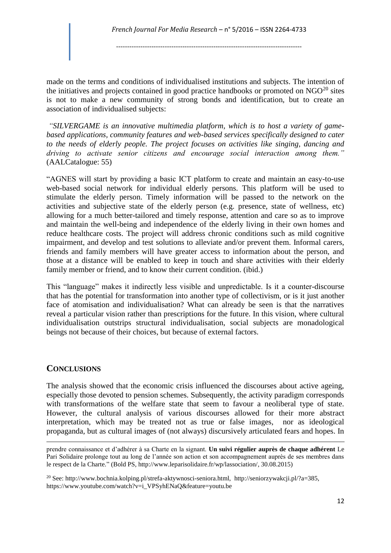made on the terms and conditions of individualised institutions and subjects. The intention of the initiatives and projects contained in good practice handbooks or promoted on  $NGO<sup>20</sup>$  sites is not to make a new community of strong bonds and identification, but to create an association of individualised subjects:

*"SILVERGAME is an innovative multimedia platform, which is to host a variety of gamebased applications, community features and web-based services specifically designed to cater to the needs of elderly people. The project focuses on activities like singing, dancing and driving to activate senior citizens and encourage social interaction among them."* (AALCatalogue: 55)

"AGNES will start by providing a basic ICT platform to create and maintain an easy-to-use web-based social network for individual elderly persons. This platform will be used to stimulate the elderly person. Timely information will be passed to the network on the activities and subjective state of the elderly person (e.g. presence, state of wellness, etc) allowing for a much better-tailored and timely response, attention and care so as to improve and maintain the well-being and independence of the elderly living in their own homes and reduce healthcare costs. The project will address chronic conditions such as mild cognitive impairment, and develop and test solutions to alleviate and/or prevent them. Informal carers, friends and family members will have greater access to information about the person, and those at a distance will be enabled to keep in touch and share activities with their elderly family member or friend, and to know their current condition. (ibid.)

This "language" makes it indirectly less visible and unpredictable. Is it a counter-discourse that has the potential for transformation into another type of collectivism, or is it just another face of atomisation and individualisation? What can already be seen is that the narratives reveal a particular vision rather than prescriptions for the future. In this vision, where cultural individualisation outstrips structural individualisation, social subjects are monadological beings not because of their choices, but because of external factors.

### **CONCLUSIONS**

 $\overline{a}$ 

The analysis showed that the economic crisis influenced the discourses about active ageing, especially those devoted to pension schemes. Subsequently, the activity paradigm corresponds with transformations of the welfare state that seem to favour a neoliberal type of state. However, the cultural analysis of various discourses allowed for their more abstract interpretation, which may be treated not as true or false images, nor as ideological propaganda, but as cultural images of (not always) discursively articulated fears and hopes. In

prendre connaissance et d'adhérer à sa Charte en la signant. **Un suivi régulier auprès de chaque adhérent** Le Pari Solidaire prolonge tout au long de l'année son action et son accompagnement auprès de ses membres dans le respect de la Charte." (Bold PS, http://www.leparisolidaire.fr/wp/lassociation/, 30.08.2015)

<sup>20</sup> See: http://www.bochnia.kolping.pl/strefa-aktywnosci-seniora.html, http://seniorzywakcji.pl/?a=385, https://www.youtube.com/watch?v=i\_VPSyhENaQ&feature=youtu.be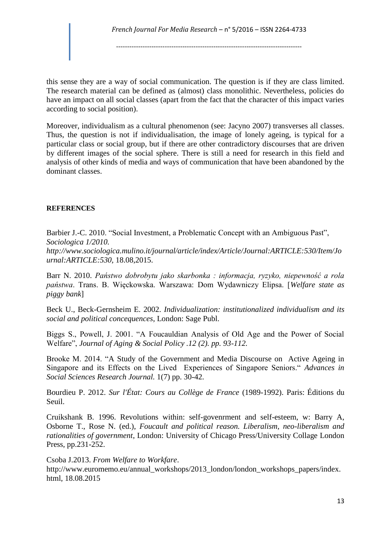*French Journal For Media Research* – n° 5/2016 – ISSN 2264-4733

------------------------------------------------------------------------------------

this sense they are a way of social communication. The question is if they are class limited. The research material can be defined as (almost) class monolithic. Nevertheless, policies do have an impact on all social classes (apart from the fact that the character of this impact varies according to social position).

Moreover, individualism as a cultural phenomenon (see: Jacyno 2007) transverses all classes. Thus, the question is not if individualisation, the image of lonely ageing, is typical for a particular class or social group, but if there are other contradictory discourses that are driven by different images of the social sphere. There is still a need for research in this field and analysis of other kinds of media and ways of communication that have been abandoned by the dominant classes.

#### **REFERENCES**

Barbier J.-C. 2010. "Social Investment, a Problematic Concept with an Ambiguous Past", *Sociologica 1/2010.* 

*http://www.sociologica.mulino.it/journal/article/index/Article/Journal:ARTICLE:530/Item/Jo urnal:ARTICLE:530,* 18.08,2015.

Barr N. 2010. *Państwo dobrobytu jako skarbonka : informacja, ryzyko, niepewność a rola państwa*. Trans. B. Więckowska. Warszawa: Dom Wydawniczy Elipsa. [*Welfare state as piggy bank*]

Beck U., Beck-Gernsheim E. 2002. *Individualization: institutionalized individualism and its social and political concequences*, London: Sage Publ.

Biggs S., Powell, J. 2001. "A Foucauldian Analysis of Old Age and the Power of Social Welfare", *Journal of Aging & Social Policy .12 (2). pp. 93-112.*

Brooke M. 2014. "A Study of the Government and Media Discourse on Active Ageing in Singapore and its Effects on the Lived Experiences of Singapore Seniors." *Advances in Social Sciences Research Journal.* 1(7) pp. 30-42.

Bourdieu P. 2012. *Sur l'État: Cours au Collège de France* (1989-1992). Paris: Éditions du Seuil.

Cruikshank B. 1996. Revolutions within: self-govenrment and self-esteem, w: Barry A, Osborne T., Rose N. (ed.), *Foucault and political reason. Liberalism, neo-liberalism and rationalities of government*, London: University of Chicago Press/University Collage London Press, pp.231-252.

Csoba J.2013. *From Welfare to Workfare*. http://www.euromemo.eu/annual\_workshops/2013\_london/london\_workshops\_papers/index. html, 18.08.2015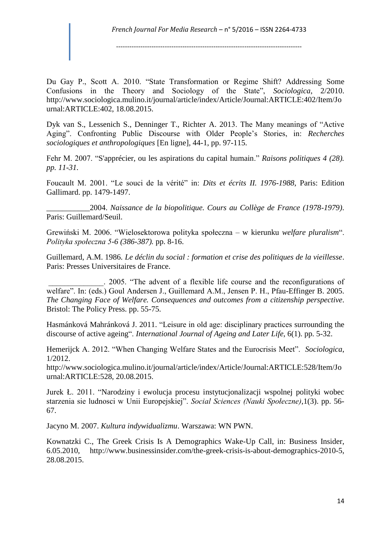Du Gay P., Scott A. 2010. "State Transformation or Regime Shift? Addressing Some Confusions in the Theory and Sociology of the State", *Sociologica*, 2/2010. http://www.sociologica.mulino.it/journal/article/index/Article/Journal:ARTICLE:402/Item/Jo urnal:ARTICLE:402, 18.08.2015.

Dyk van S., Lessenich S., Denninger T., Richter A. 2013. The Many meanings of "Active Aging". Confronting Public Discourse with Older People's Stories, in: *Recherches sociologiques et anthropologiques* [En ligne], 44-1, pp. 97-115.

Fehr M. 2007. "S'apprécier, ou les aspirations du capital humain." *Raisons politiques 4 (28). pp. 11-31.*

Foucault M. 2001. "Le souci de la vérité" in: *Dits et écrits II. 1976-1988*, Paris: Edition Gallimard. pp. 1479-1497.

*\_\_\_\_\_\_\_\_\_\_\_*2004. *Naissance de la biopolitique. Cours au Collège de France (1978-1979)*. Paris: Guillemard/Seuil.

Grewiński M. 2006. "Wielosektorowa polityka społeczna – w kierunku *welfare pluralism*". *Polityka społeczna 5-6 (386-387).* pp. 8-16.

Guillemard, A.M. 1986. *Le déclin du social : formation et crise des politiques de la vieillesse*. Paris: Presses Universitaires de France.

\_\_\_\_\_\_\_\_\_\_\_\_\_\_. 2005. "The advent of a flexible life course and the reconfigurations of welfare". In: (eds.) Goul Andersen J., Guillemard A.M., Jensen P. H., Pfau-Effinger B. 2005. *The Changing Face of Welfare. Consequences and outcomes from a citizenship perspective*. Bristol: The Policy Press. pp. 55-75.

Hasmánková Mahránková J. 2011. "Leisure in old age: disciplinary practices surrounding the discourse of active ageing". *International Journal of Ageing and Later Life*, 6(1). pp. 5-32.

Hemerijck A. 2012. "When Changing Welfare States and the Eurocrisis Meet". *Sociologica*, 1/2012.

http://www.sociologica.mulino.it/journal/article/index/Article/Journal:ARTICLE:528/Item/Jo urnal:ARTICLE:528, 20.08.2015.

Jurek Ł. 2011. "Narodziny i ewolucja procesu instytucjonalizacji wspolnej polityki wobec starzenia sie ludnosci w Unii Europejskiej". *Social Sciences (Nauki Społeczne)*,1(3). pp. 56- 67.

Jacyno M. 2007. *Kultura indywidualizmu*. Warszawa: WN PWN.

Kownatzki C., The Greek Crisis Is A Demographics Wake-Up Call, in: Business Insider, 6.05.2010, http://www.businessinsider.com/the-greek-crisis-is-about-demographics-2010-5, 28.08.2015.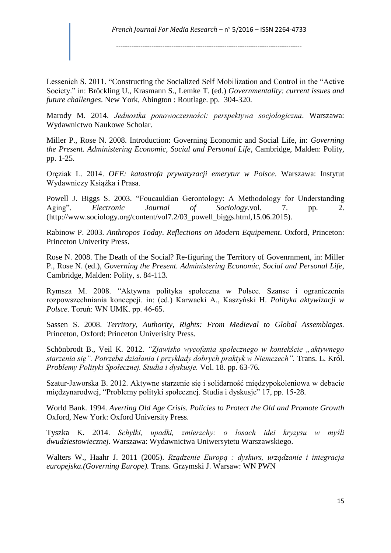Lessenich S. 2011. "Constructing the Socialized Self Mobilization and Control in the "Active Society." in: Bröckling U., Krasmann S., Lemke T. (ed.) *Governmentality: current issues and future challenges*. New York, Abington : Routlage. pp. 304-320.

Marody M. 2014. *Jednostka ponowoczesności: perspektywa socjologiczna*. Warszawa: Wydawnictwo Naukowe Scholar.

Miller P., Rose N. 2008. Introduction: Governing Economic and Social Life, in: *Governing the Present. Administering Economic, Social and Personal Life*, Cambridge, Malden: Polity, pp. 1-25.

Oręziak L. 2014. *OFE: katastrofa prywatyzacji emerytur w Polsce*. Warszawa: Instytut Wydawniczy Książka i Prasa.

Powell J. Biggs S. 2003. "Foucauldian Gerontology: A Methodology for Understanding Aging". *Electronic Journal of Sociology.vol.* 7. pp. 2. (http://www.sociology.org/content/vol7.2/03\_powell\_biggs.html,15.06.2015).

Rabinow P. 2003. *Anthropos Today*. *Reflections on Modern Equipement*. Oxford, Princeton: Princeton Univerity Press.

Rose N. 2008. The Death of the Social? Re-figuring the Territory of Govenrnment, in: Miller P., Rose N. (ed.), *Governing the Present. Administering Economic, Social and Personal Life*, Cambridge, Malden: Polity, s. 84-113.

Rymsza M. 2008. "Aktywna polityka społeczna w Polsce. Szanse i ograniczenia rozpowszechniania koncepcji. in: (ed.) Karwacki A., Kaszyński H. *Polityka aktywizacji w Polsce*. Toruń: WN UMK. pp. 46-65.

Sassen S. 2008. *Territory, Authority, Rights: From Medieval to Global Assemblages.*  Princeton, Oxford: Princeton Univerisity Press.

Schönbrodt B., Veil K. 2012. *"Zjawisko wycofania społecznego w kontekście "aktywnego*  starzenia się". Potrzeba działania i przykłady dobrych praktyk w Niemczech". Trans. L. Król. *Problemy Polityki Społecznej. Studia i dyskusje.* Vol. 18. pp. 63-76.

Szatur-Jaworska B. 2012. Aktywne starzenie się i solidarność międzypokoleniowa w debacie międzynarodwej, "Problemy polityki społecznej. Studia i dyskusje" 17, pp. 15-28.

World Bank*.* 1994. *Averting Old Age Crisis. Policies to Protect the Old and Promote Growth*  Oxford, New York: Oxford University Press.

Tyszka K. 2014. *Schyłki, upadki, zmierzchy: o losach idei kryzysu w myśli dwudziestowiecznej*. Warszawa: Wydawnictwa Uniwersytetu Warszawskiego.

Walters W., Haahr J. 2011 (2005). *Rządzenie Europą : dyskurs, urządzanie i integracja europejska.(Governing Europe).* Trans. Grzymski J. Warsaw: WN PWN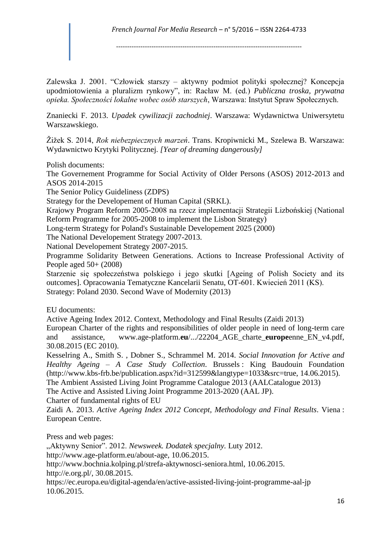Zalewska J. 2001. "Człowiek starszy – aktywny podmiot polityki społecznej? Koncepcja upodmiotowienia a pluralizm rynkowy", in: Racław M. (ed.) *Publiczna troska, prywatna opieka. Społeczności lokalne wobec osób starszych*, Warszawa: Instytut Spraw Społecznych.

Znaniecki F. 2013. *Upadek cywilizacji zachodniej*. Warszawa: Wydawnictwa Uniwersytetu Warszawskiego.

Žižek S. 2014, *Rok niebezpiecznych marzeń*. Trans. Kropiwnicki M., Szelewa B. Warszawa: Wydawnictwo Krytyki Politycznej. *[Year of dreaming dangerously]*

Polish documents:

The Governement Programme for Social Activity of Older Persons (ASOS) 2012-2013 and ASOS 2014-2015

The Senior Policy Guideliness (ZDPS)

Strategy for the Developement of Human Capital (SRKL).

Krajowy Program Reform 2005-2008 na rzecz implementacji Strategii Lizbońskiej (National Reform Programme for 2005-2008 to implement the Lisbon Strategy)

Long-term Strategy for Poland's Sustainable Developement 2025 (2000)

The National Developement Strategy 2007-2013.

National Developement Strategy 2007-2015.

Programme Solidarity Between Generations. Actions to Increase Professional Activity of People aged 50+ (2008)

Starzenie się społeczeństwa polskiego i jego skutki [Ageing of Polish Society and its outcomes]. Opracowania Tematyczne Kancelarii Senatu, OT-601. Kwiecień 2011 (KS). Strategy: Poland 2030. Second Wave of Modernity (2013)

EU documents:

Active Ageing Index 2012. Context, Methodology and Final Results (Zaidi 2013)

European Charter of the rights and responsibilities of older people in need of long-term care and assistance*,* www.age-platform.**eu**/.../22204\_AGE\_charte\_**europe**enne\_EN\_v4.pdf, 30.08.2015 (EC 2010).

Kesselring A., Smith S. , Dobner S., Schrammel M. 2014. *Social Innovation for Active and Healthy Ageing – A Case Study Collection*. Brussels : King Baudouin Foundation (http://www.kbs-frb.be/publication.aspx?id=312599&langtype=1033&src=true, 14.06.2015).

The Ambient Assisted Living Joint Programme Catalogue 2013 (AALCatalogue 2013)

The Active and Assisted Living Joint Programme 2013-2020 (AAL JP).

Charter of fundamental rights of EU

Zaidi A. 2013. *Active Ageing Index 2012 Concept, Methodology and Final Results*. Viena : European Centre.

Press and web pages:

"Aktywny Senior". 2012. *Newsweek. Dodatek specjalny.* Luty 2012.

http://www.age-platform.eu/about-age, 10.06.2015.

http://www.bochnia.kolping.pl/strefa-aktywnosci-seniora.html, 10.06.2015.

http://e.org.pl/, 30.08.2015.

https://ec.europa.eu/digital-agenda/en/active-assisted-living-joint-programme-aal-jp 10.06.2015.